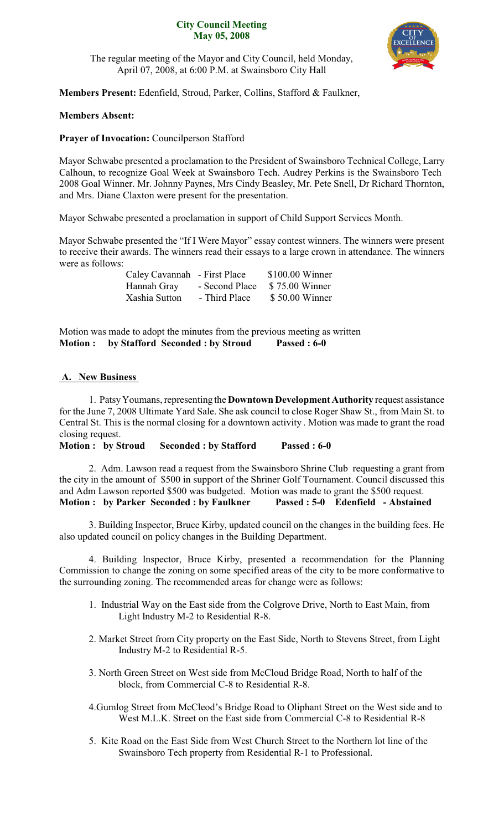#### **City Council Meeting May 05, 2008**



The regular meeting of the Mayor and City Council, held Monday, April 07, 2008, at 6:00 P.M. at Swainsboro City Hall

**Members Present:** Edenfield, Stroud, Parker, Collins, Stafford & Faulkner,

## **Members Absent:**

### **Prayer of Invocation:** Councilperson Stafford

Mayor Schwabe presented a proclamation to the President of Swainsboro Technical College, Larry Calhoun, to recognize Goal Week at Swainsboro Tech. Audrey Perkins is the Swainsboro Tech 2008 Goal Winner. Mr. Johnny Paynes, Mrs Cindy Beasley, Mr. Pete Snell, Dr Richard Thornton, and Mrs. Diane Claxton were present for the presentation.

Mayor Schwabe presented a proclamation in support of Child Support Services Month.

Mayor Schwabe presented the "If I Were Mayor" essay contest winners. The winners were present to receive their awards. The winners read their essays to a large crown in attendance. The winners were as follows:

|               | Caley Cavannah - First Place | $$100.00$ Winner |
|---------------|------------------------------|------------------|
| Hannah Gray   | - Second Place               | \$75.00 Winner   |
| Xashia Sutton | - Third Place                | \$50.00 Winner   |

Motion was made to adopt the minutes from the previous meeting as written **Motion : by Stafford Seconded : by Stroud Passed : 6-0**

## **A. New Business**

1. PatsyYoumans, representing the **Downtown Development Authority** request assistance for the June 7, 2008 Ultimate Yard Sale. She ask council to close Roger Shaw St., from Main St. to Central St. This is the normal closing for a downtown activity . Motion was made to grant the road closing request.

**Motion : by Stroud Seconded : by Stafford Passed : 6-0**

2. Adm. Lawson read a request from the Swainsboro Shrine Club requesting a grant from the city in the amount of \$500 in support of the Shriner Golf Tournament. Council discussed this and Adm Lawson reported \$500 was budgeted. Motion was made to grant the \$500 request. **Motion : by Parker Seconded : by Faulkner Passed : 5-0 Edenfield - Abstained**

3. Building Inspector, Bruce Kirby, updated council on the changes in the building fees. He also updated council on policy changes in the Building Department.

4. Building Inspector, Bruce Kirby, presented a recommendation for the Planning Commission to change the zoning on some specified areas of the city to be more conformative to the surrounding zoning. The recommended areas for change were as follows:

- 1. Industrial Way on the East side from the Colgrove Drive, North to East Main, from Light Industry M-2 to Residential R-8.
- 2. Market Street from City property on the East Side, North to Stevens Street, from Light Industry M-2 to Residential R-5.
- 3. North Green Street on West side from McCloud Bridge Road, North to half of the block, from Commercial C-8 to Residential R-8.
- 4.Gumlog Street from McCleod's Bridge Road to Oliphant Street on the West side and to West M.L.K. Street on the East side from Commercial C-8 to Residential R-8
- 5. Kite Road on the East Side from West Church Street to the Northern lot line of the Swainsboro Tech property from Residential R-1 to Professional.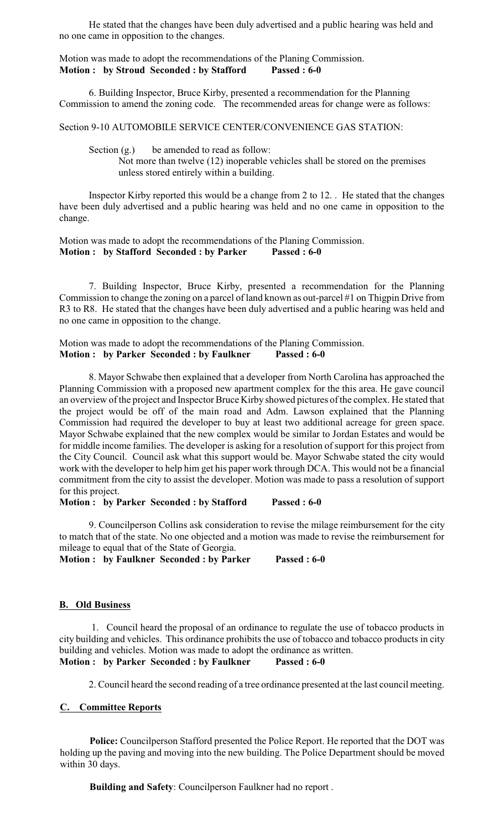He stated that the changes have been duly advertised and a public hearing was held and no one came in opposition to the changes.

#### Motion was made to adopt the recommendations of the Planing Commission. **Motion : by Stroud Seconded : by Stafford Passed : 6-0**

6. Building Inspector, Bruce Kirby, presented a recommendation for the Planning Commission to amend the zoning code. The recommended areas for change were as follows:

Section 9-10 AUTOMOBILE SERVICE CENTER/CONVENIENCE GAS STATION:

Section  $(g)$  be amended to read as follow:

Not more than twelve (12) inoperable vehicles shall be stored on the premises unless stored entirely within a building.

Inspector Kirby reported this would be a change from 2 to 12. . He stated that the changes have been duly advertised and a public hearing was held and no one came in opposition to the change.

Motion was made to adopt the recommendations of the Planing Commission. **Motion : by Stafford Seconded : by Parker Passed : 6-0**

7. Building Inspector, Bruce Kirby, presented a recommendation for the Planning Commission to change the zoning on a parcel of land known as out-parcel #1 on Thigpin Drive from R3 to R8. He stated that the changes have been duly advertised and a public hearing was held and no one came in opposition to the change.

Motion was made to adopt the recommendations of the Planing Commission. **Motion : by Parker Seconded : by Faulkner Passed : 6-0**

8. Mayor Schwabe then explained that a developer from North Carolina has approached the Planning Commission with a proposed new apartment complex for the this area. He gave council an overview of the project and Inspector Bruce Kirby showed pictures of the complex. He stated that the project would be off of the main road and Adm. Lawson explained that the Planning Commission had required the developer to buy at least two additional acreage for green space. Mayor Schwabe explained that the new complex would be similar to Jordan Estates and would be for middle income families. The developer is asking for a resolution of support for this project from the City Council. Council ask what this support would be. Mayor Schwabe stated the city would work with the developer to help him get his paper work through DCA. This would not be a financial commitment from the city to assist the developer. Motion was made to pass a resolution of support for this project.

**Motion : by Parker Seconded : by Stafford Passed : 6-0**

9. Councilperson Collins ask consideration to revise the milage reimbursement for the city to match that of the state. No one objected and a motion was made to revise the reimbursement for mileage to equal that of the State of Georgia.

**Motion : by Faulkner Seconded : by Parker Passed : 6-0**

#### **B. Old Business**

1. Council heard the proposal of an ordinance to regulate the use of tobacco products in city building and vehicles. This ordinance prohibits the use of tobacco and tobacco products in city building and vehicles. Motion was made to adopt the ordinance as written. **Motion : by Parker Seconded : by Faulkner Passed : 6-0**

2. Council heard the second reading of a tree ordinance presented at the last council meeting.

# **C. Committee Reports**

**Police:** Councilperson Stafford presented the Police Report. He reported that the DOT was holding up the paving and moving into the new building. The Police Department should be moved within 30 days.

**Building and Safety**: Councilperson Faulkner had no report .